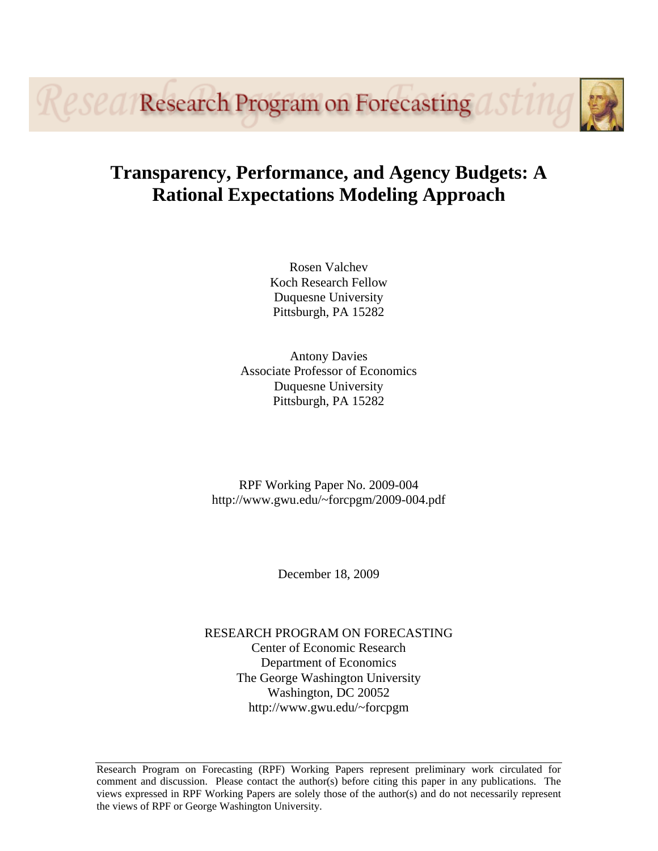*eseal* Research Program on Forecasting

# **Transparency, Performance, and Agency Budgets: A Rational Expectations Modeling Approach**

Rosen Valchev Koch Research Fellow Duquesne University Pittsburgh, PA 15282

Antony Davies Associate Professor of Economics Duquesne University Pittsburgh, PA 15282

RPF Working Paper No. 2009-004 http://www.gwu.edu/~forcpgm/2009-004.pdf

December 18, 2009

RESEARCH PROGRAM ON FORECASTING Center of Economic Research Department of Economics The George Washington University Washington, DC 20052 http://www.gwu.edu/~forcpgm

Research Program on Forecasting (RPF) Working Papers represent preliminary work circulated for comment and discussion. Please contact the author(s) before citing this paper in any publications. The views expressed in RPF Working Papers are solely those of the author(s) and do not necessarily represent the views of RPF or George Washington University.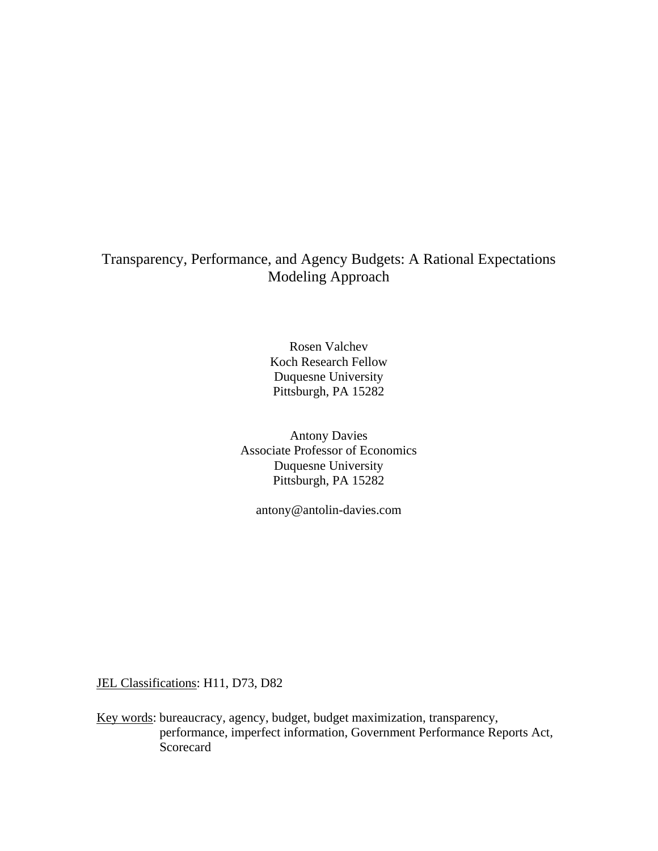# Transparency, Performance, and Agency Budgets: A Rational Expectations Modeling Approach

Rosen Valchev Koch Research Fellow Duquesne University Pittsburgh, PA 15282

Antony Davies Associate Professor of Economics Duquesne University Pittsburgh, PA 15282

antony@antolin-davies.com

JEL Classifications: H11, D73, D82

Key words: bureaucracy, agency, budget, budget maximization, transparency, performance, imperfect information, Government Performance Reports Act, **Scorecard**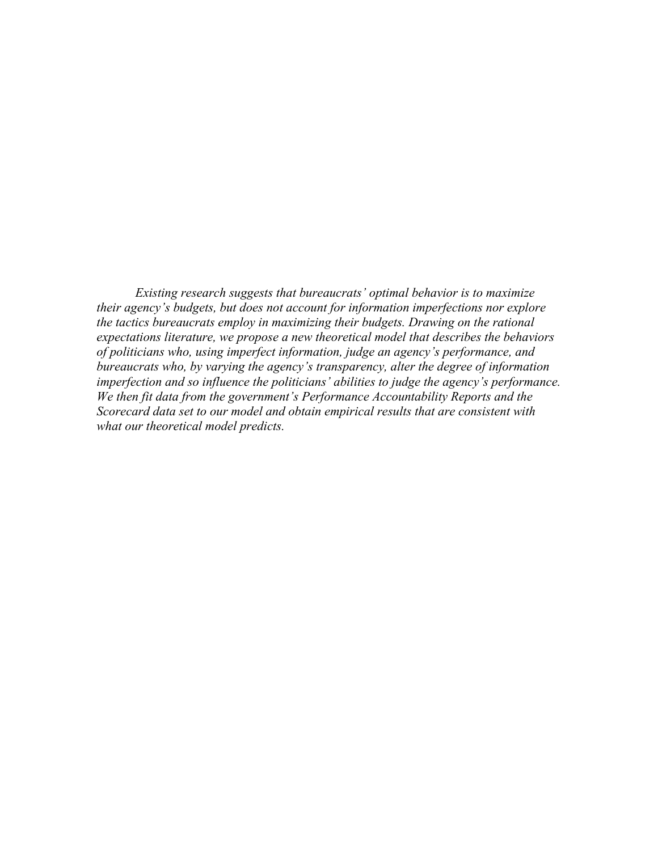*Existing research suggests that bureaucrats' optimal behavior is to maximize their agency's budgets, but does not account for information imperfections nor explore the tactics bureaucrats employ in maximizing their budgets. Drawing on the rational expectations literature, we propose a new theoretical model that describes the behaviors of politicians who, using imperfect information, judge an agency's performance, and bureaucrats who, by varying the agency's transparency, alter the degree of information imperfection and so influence the politicians' abilities to judge the agency's performance. We then fit data from the government's Performance Accountability Reports and the Scorecard data set to our model and obtain empirical results that are consistent with what our theoretical model predicts.*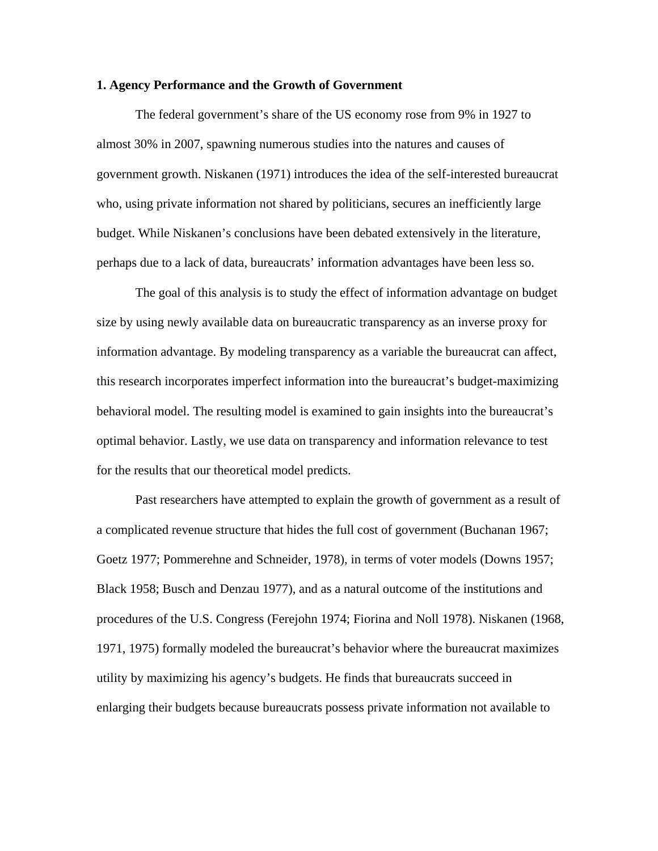#### **1. Agency Performance and the Growth of Government**

The federal government's share of the US economy rose from 9% in 1927 to almost 30% in 2007, spawning numerous studies into the natures and causes of government growth. Niskanen (1971) introduces the idea of the self-interested bureaucrat who, using private information not shared by politicians, secures an inefficiently large budget. While Niskanen's conclusions have been debated extensively in the literature, perhaps due to a lack of data, bureaucrats' information advantages have been less so.

The goal of this analysis is to study the effect of information advantage on budget size by using newly available data on bureaucratic transparency as an inverse proxy for information advantage. By modeling transparency as a variable the bureaucrat can affect, this research incorporates imperfect information into the bureaucrat's budget-maximizing behavioral model. The resulting model is examined to gain insights into the bureaucrat's optimal behavior. Lastly, we use data on transparency and information relevance to test for the results that our theoretical model predicts.

Past researchers have attempted to explain the growth of government as a result of a complicated revenue structure that hides the full cost of government (Buchanan 1967; Goetz 1977; Pommerehne and Schneider, 1978), in terms of voter models (Downs 1957; Black 1958; Busch and Denzau 1977), and as a natural outcome of the institutions and procedures of the U.S. Congress (Ferejohn 1974; Fiorina and Noll 1978). Niskanen (1968, 1971, 1975) formally modeled the bureaucrat's behavior where the bureaucrat maximizes utility by maximizing his agency's budgets. He finds that bureaucrats succeed in enlarging their budgets because bureaucrats possess private information not available to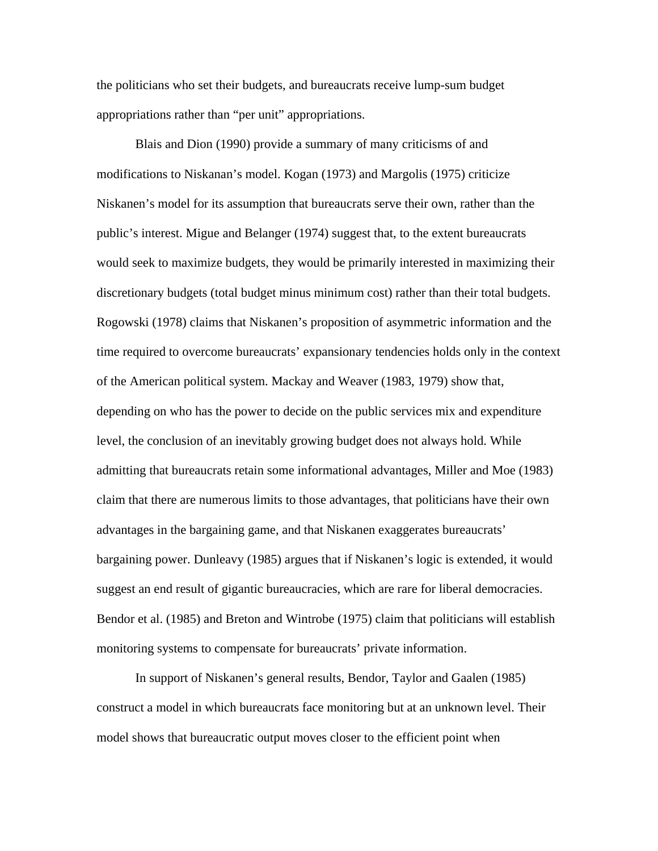the politicians who set their budgets, and bureaucrats receive lump-sum budget appropriations rather than "per unit" appropriations.

 Blais and Dion (1990) provide a summary of many criticisms of and modifications to Niskanan's model. Kogan (1973) and Margolis (1975) criticize Niskanen's model for its assumption that bureaucrats serve their own, rather than the public's interest. Migue and Belanger (1974) suggest that, to the extent bureaucrats would seek to maximize budgets, they would be primarily interested in maximizing their discretionary budgets (total budget minus minimum cost) rather than their total budgets. Rogowski (1978) claims that Niskanen's proposition of asymmetric information and the time required to overcome bureaucrats' expansionary tendencies holds only in the context of the American political system. Mackay and Weaver (1983, 1979) show that, depending on who has the power to decide on the public services mix and expenditure level, the conclusion of an inevitably growing budget does not always hold. While admitting that bureaucrats retain some informational advantages, Miller and Moe (1983) claim that there are numerous limits to those advantages, that politicians have their own advantages in the bargaining game, and that Niskanen exaggerates bureaucrats' bargaining power. Dunleavy (1985) argues that if Niskanen's logic is extended, it would suggest an end result of gigantic bureaucracies, which are rare for liberal democracies. Bendor et al. (1985) and Breton and Wintrobe (1975) claim that politicians will establish monitoring systems to compensate for bureaucrats' private information.

In support of Niskanen's general results, Bendor, Taylor and Gaalen (1985) construct a model in which bureaucrats face monitoring but at an unknown level. Their model shows that bureaucratic output moves closer to the efficient point when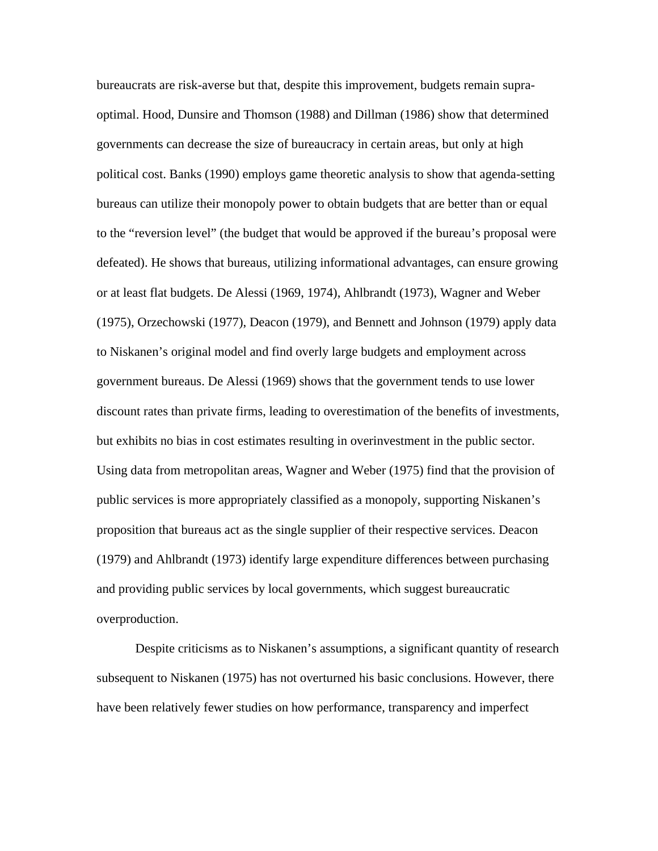bureaucrats are risk-averse but that, despite this improvement, budgets remain supraoptimal. Hood, Dunsire and Thomson (1988) and Dillman (1986) show that determined governments can decrease the size of bureaucracy in certain areas, but only at high political cost. Banks (1990) employs game theoretic analysis to show that agenda-setting bureaus can utilize their monopoly power to obtain budgets that are better than or equal to the "reversion level" (the budget that would be approved if the bureau's proposal were defeated). He shows that bureaus, utilizing informational advantages, can ensure growing or at least flat budgets. De Alessi (1969, 1974), Ahlbrandt (1973), Wagner and Weber (1975), Orzechowski (1977), Deacon (1979), and Bennett and Johnson (1979) apply data to Niskanen's original model and find overly large budgets and employment across government bureaus. De Alessi (1969) shows that the government tends to use lower discount rates than private firms, leading to overestimation of the benefits of investments, but exhibits no bias in cost estimates resulting in overinvestment in the public sector. Using data from metropolitan areas, Wagner and Weber (1975) find that the provision of public services is more appropriately classified as a monopoly, supporting Niskanen's proposition that bureaus act as the single supplier of their respective services. Deacon (1979) and Ahlbrandt (1973) identify large expenditure differences between purchasing and providing public services by local governments, which suggest bureaucratic overproduction.

 Despite criticisms as to Niskanen's assumptions, a significant quantity of research subsequent to Niskanen (1975) has not overturned his basic conclusions. However, there have been relatively fewer studies on how performance, transparency and imperfect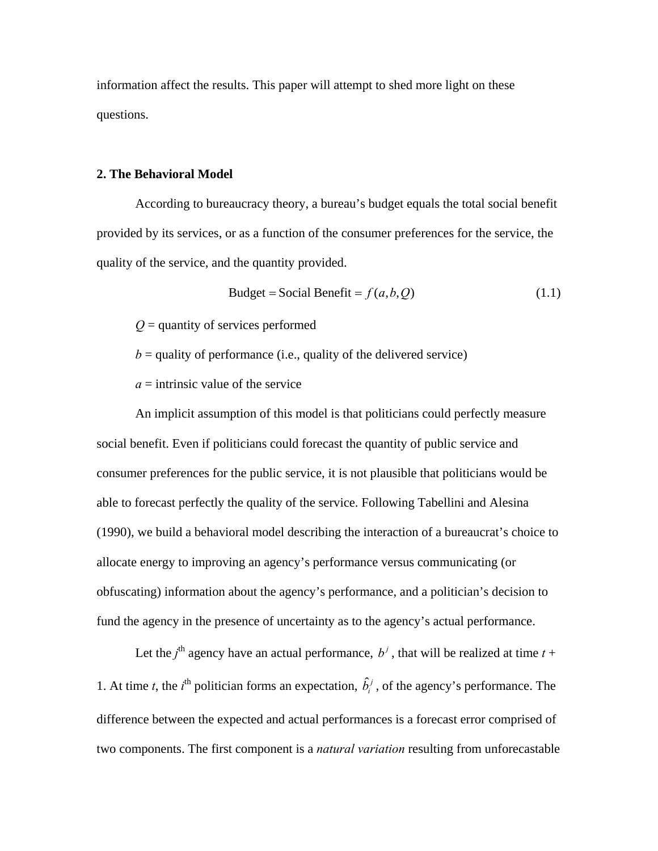information affect the results. This paper will attempt to shed more light on these questions.

#### **2. The Behavioral Model**

 According to bureaucracy theory, a bureau's budget equals the total social benefit provided by its services, or as a function of the consumer preferences for the service, the quality of the service, and the quantity provided.

$$
Budget = Social benefit = f(a, b, Q)
$$
 (1.1)

*Q* = quantity of services performed

 $b =$  quality of performance (i.e., quality of the delivered service)

 $a =$  intrinsic value of the service

An implicit assumption of this model is that politicians could perfectly measure social benefit. Even if politicians could forecast the quantity of public service and consumer preferences for the public service, it is not plausible that politicians would be able to forecast perfectly the quality of the service. Following Tabellini and Alesina (1990), we build a behavioral model describing the interaction of a bureaucrat's choice to allocate energy to improving an agency's performance versus communicating (or obfuscating) information about the agency's performance, and a politician's decision to fund the agency in the presence of uncertainty as to the agency's actual performance.

Let the *j*<sup>th</sup> agency have an actual performance,  $b^j$ , that will be realized at time  $t +$ 1. At time *t*, the *i*<sup>th</sup> politician forms an expectation,  $\hat{b}^j_i$ , of the agency's performance. The difference between the expected and actual performances is a forecast error comprised of two components. The first component is a *natural variation* resulting from unforecastable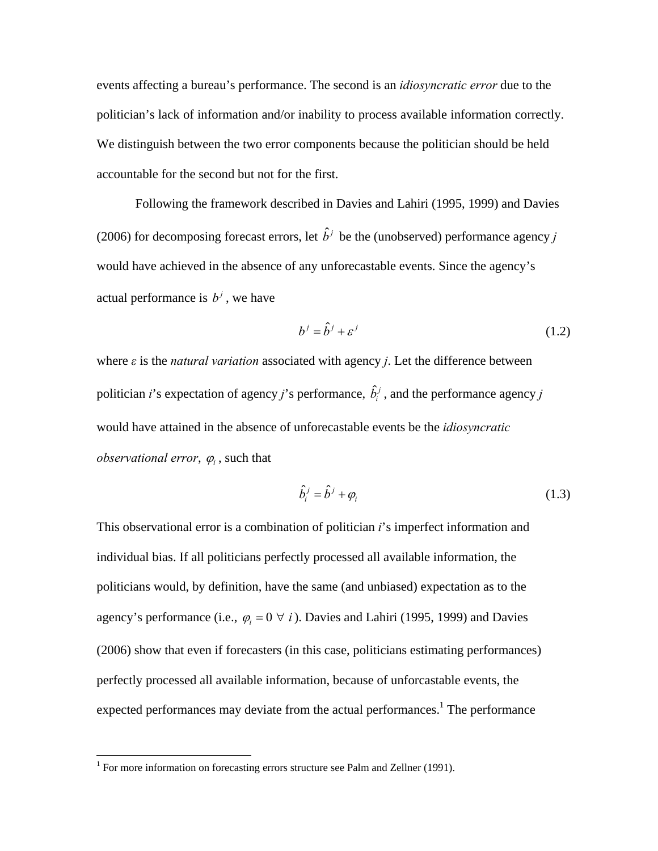events affecting a bureau's performance. The second is an *idiosyncratic error* due to the politician's lack of information and/or inability to process available information correctly. We distinguish between the two error components because the politician should be held accountable for the second but not for the first.

Following the framework described in Davies and Lahiri (1995, 1999) and Davies (2006) for decomposing forecast errors, let  $\hat{b}^j$  be the (unobserved) performance agency *j* would have achieved in the absence of any unforecastable events. Since the agency's actual performance is  $b^j$ , we have

$$
b^j = \hat{b}^j + \varepsilon^j \tag{1.2}
$$

where *ε* is the *natural variation* associated with agency *j*. Let the difference between politician *i*'s expectation of agency *j*'s performance,  $\hat{b}_i^j$ , and the performance agency *j* would have attained in the absence of unforecastable events be the *idiosyncratic observational error,*  $\varphi_i$ , such that

$$
\hat{b}_i^j = \hat{b}^j + \varphi_i \tag{1.3}
$$

This observational error is a combination of politician *i*'s imperfect information and individual bias. If all politicians perfectly processed all available information, the politicians would, by definition, have the same (and unbiased) expectation as to the agency's performance (i.e.,  $\varphi_i = 0 \ \forall \ i$ ). Davies and Lahiri (1995, 1999) and Davies (2006) show that even if forecasters (in this case, politicians estimating performances) perfectly processed all available information, because of unforcastable events, the expected performances may deviate from the actual performances.<sup>1</sup> The performance

<u>.</u>

<sup>&</sup>lt;sup>1</sup> For more information on forecasting errors structure see Palm and Zellner (1991).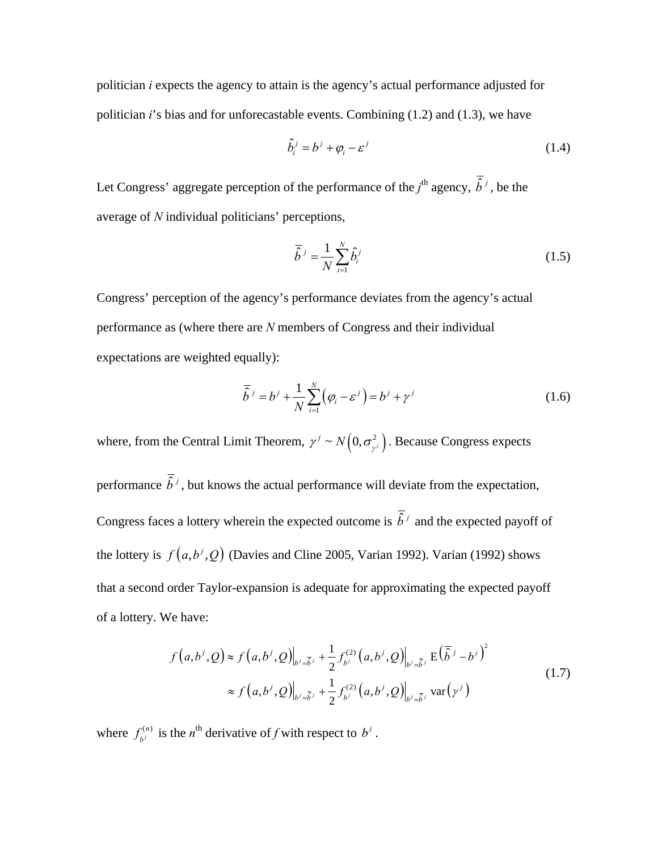politician *i* expects the agency to attain is the agency's actual performance adjusted for politician *i*'s bias and for unforecastable events. Combining (1.2) and (1.3), we have

$$
\hat{b}_i^j = b^j + \varphi_i - \varepsilon^j \tag{1.4}
$$

Let Congress' aggregate perception of the performance of the  $j^{\text{th}}$  agency,  $\hat{b}^j$ , be the average of *N* individual politicians' perceptions,

$$
\overline{\hat{b}}^j = \frac{1}{N} \sum_{i=1}^N \hat{b}_i^j
$$
 (1.5)

Congress' perception of the agency's performance deviates from the agency's actual performance as (where there are *N* members of Congress and their individual expectations are weighted equally):

$$
\overline{\hat{b}}^j = b^j + \frac{1}{N} \sum_{i=1}^N (\varphi_i - \varepsilon^j) = b^j + \gamma^j
$$
\n(1.6)

where, from the Central Limit Theorem,  $\gamma^j \sim N(0, \sigma_{\gamma^j}^2)$ . Because Congress expects performance  $\overline{\hat{b}}^j$ , but knows the actual performance will deviate from the expectation, Congress faces a lottery wherein the expected outcome is  $\overline{\hat{b}}^j$  and the expected payoff of the lottery is  $f(a, b^j, Q)$  (Davies and Cline 2005, Varian 1992). Varian (1992) shows that a second order Taylor-expansion is adequate for approximating the expected payoff of a lottery. We have:

$$
f(a,b^j,Q) \approx f(a,b^j,Q)\Big|_{b^j=\overline{b}^j} + \frac{1}{2}f_{b^j}^{(2)}(a,b^j,Q)\Big|_{b^j=\overline{b}^j} E(\overline{\hat{b}}^j-b^j)^2
$$
  

$$
\approx f(a,b^j,Q)\Big|_{b^j=\overline{b}^j} + \frac{1}{2}f_{b^j}^{(2)}(a,b^j,Q)\Big|_{b^j=\overline{b}^j} \text{ var}(\gamma^j)
$$
 (1.7)

where  $f_{\mu}^{(n)}$  $f_{b}^{(n)}$  is the *n*<sup>th</sup> derivative of *f* with respect to  $b^j$ .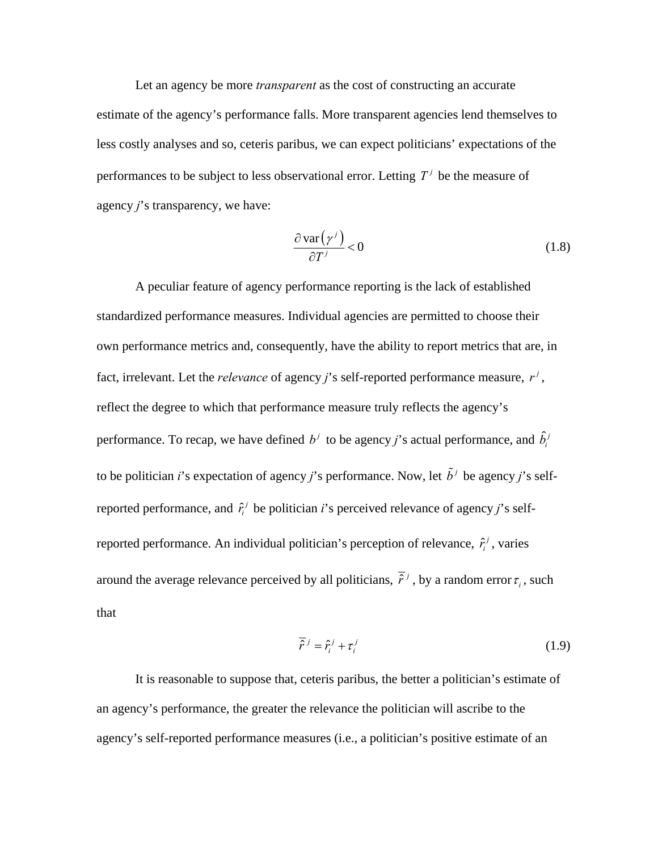Let an agency be more *transparent* as the cost of constructing an accurate estimate of the agency's performance falls. More transparent agencies lend themselves to less costly analyses and so, ceteris paribus, we can expect politicians' expectations of the performances to be subject to less observational error. Letting  $T<sup>j</sup>$  be the measure of agency *j*'s transparency, we have:

$$
\frac{\partial \operatorname{var}(\gamma^j)}{\partial T^j} < 0 \tag{1.8}
$$

 A peculiar feature of agency performance reporting is the lack of established standardized performance measures. Individual agencies are permitted to choose their own performance metrics and, consequently, have the ability to report metrics that are, in fact, irrelevant. Let the *relevance* of agency *j*'s self-reported performance measure,  $r^j$ , reflect the degree to which that performance measure truly reflects the agency's performance. To recap, we have defined  $b^j$  to be agency *j*'s actual performance, and  $\hat{b}^j_i$ to be politician *i*'s expectation of agency *j*'s performance. Now, let  $\tilde{b}^j$  be agency *j*'s selfreported performance, and  $\hat{r}_i^j$  be politician *i*'s perceived relevance of agency *j*'s selfreported performance. An individual politician's perception of relevance,  $\hat{r}_i^j$ , varies around the average relevance perceived by all politicians,  $\overline{\hat{r}}^j$ , by a random error  $\tau_i$ , such that

$$
\overline{\hat{r}}^j = \hat{r}_i^j + \tau_i^j \tag{1.9}
$$

 It is reasonable to suppose that, ceteris paribus, the better a politician's estimate of an agency's performance, the greater the relevance the politician will ascribe to the agency's self-reported performance measures (i.e., a politician's positive estimate of an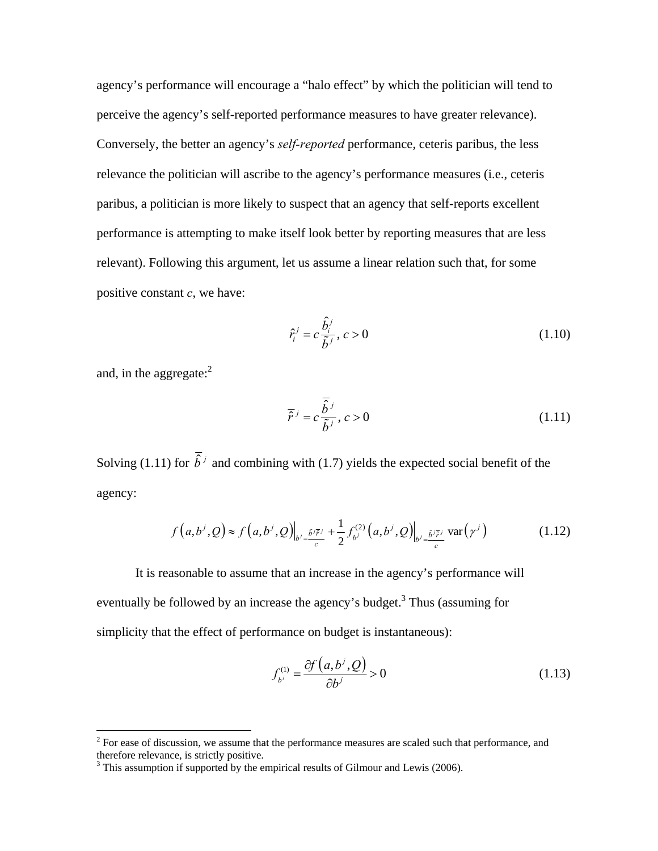agency's performance will encourage a "halo effect" by which the politician will tend to perceive the agency's self-reported performance measures to have greater relevance). Conversely, the better an agency's *self-reported* performance, ceteris paribus, the less relevance the politician will ascribe to the agency's performance measures (i.e., ceteris paribus, a politician is more likely to suspect that an agency that self-reports excellent performance is attempting to make itself look better by reporting measures that are less relevant). Following this argument, let us assume a linear relation such that, for some positive constant *c*, we have:

$$
\hat{r}_i^j = c \frac{\hat{b}_i^j}{\tilde{b}^j}, \ c > 0 \tag{1.10}
$$

and, in the aggregate: $^{2}$ 

$$
\overline{\hat{r}}^j = c \frac{\overline{\hat{b}}^j}{\tilde{b}^j}, c > 0
$$
\n(1.11)

Solving (1.11) for  $\overline{\hat{b}}^j$  and combining with (1.7) yields the expected social benefit of the agency:

$$
f(a,b^j,Q) \approx f(a,b^j,Q)\Big|_{b^j=\frac{\tilde{b}^j\tilde{t}^j}{c}} + \frac{1}{2}f_{b^j}^{(2)}(a,b^j,Q)\Big|_{b^j=\frac{\tilde{b}^j\tilde{t}^j}{c}} \text{var}\big(\gamma^j\big) \tag{1.12}
$$

 It is reasonable to assume that an increase in the agency's performance will eventually be followed by an increase the agency's budget.<sup>3</sup> Thus (assuming for simplicity that the effect of performance on budget is instantaneous):

$$
f_{b^j}^{(1)} = \frac{\partial f\left(a, b^j, Q\right)}{\partial b^j} > 0 \tag{1.13}
$$

<sup>&</sup>lt;sup>2</sup> For ease of discussion, we assume that the performance measures are scaled such that performance, and <sup>2</sup> therefore relevance, is strictly positive.

<sup>&</sup>lt;sup>3</sup> This assumption if supported by the empirical results of Gilmour and Lewis (2006).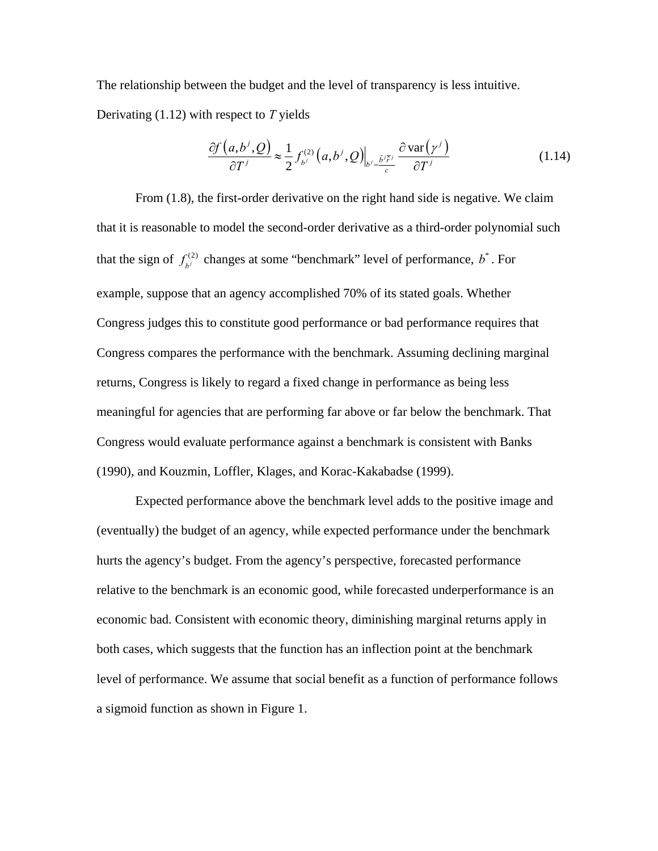The relationship between the budget and the level of transparency is less intuitive. Derivating (1.12) with respect to *T* yields

$$
\frac{\partial f(a,b^j,Q)}{\partial T^j} \approx \frac{1}{2} f_{b^j}^{(2)}(a,b^j,Q) \Big|_{b^j = \frac{\tilde{b}^j \tilde{F}^j}{c}} \frac{\partial \text{var}(\gamma^j)}{\partial T^j}
$$
(1.14)

 From (1.8), the first-order derivative on the right hand side is negative. We claim that it is reasonable to model the second-order derivative as a third-order polynomial such that the sign of  $f_{b}^{(2)}$  changes at some "benchmark" level of performance,  $b^*$ . For example, suppose that an agency accomplished 70% of its stated goals. Whether Congress judges this to constitute good performance or bad performance requires that Congress compares the performance with the benchmark. Assuming declining marginal returns, Congress is likely to regard a fixed change in performance as being less meaningful for agencies that are performing far above or far below the benchmark. That Congress would evaluate performance against a benchmark is consistent with Banks (1990), and Kouzmin, Loffler, Klages, and Korac-Kakabadse (1999).

Expected performance above the benchmark level adds to the positive image and (eventually) the budget of an agency, while expected performance under the benchmark hurts the agency's budget. From the agency's perspective, forecasted performance relative to the benchmark is an economic good, while forecasted underperformance is an economic bad. Consistent with economic theory, diminishing marginal returns apply in both cases, which suggests that the function has an inflection point at the benchmark level of performance. We assume that social benefit as a function of performance follows a sigmoid function as shown in Figure 1.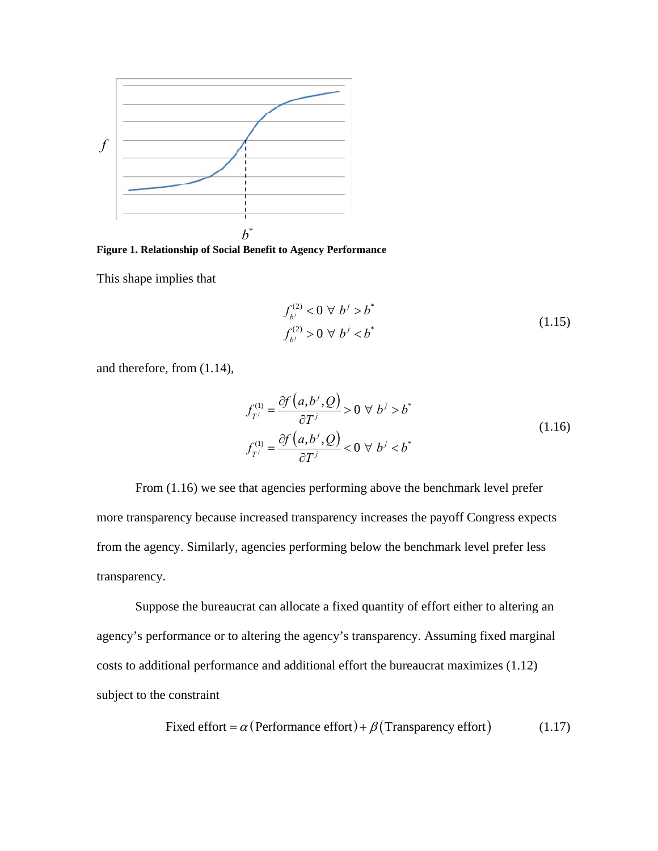

**Figure 1. Relationship of Social Benefit to Agency Performance** 

This shape implies that

$$
f_{b^j}^{(2)} < 0 \ \forall \ b^j > b^*
$$
  

$$
f_{b^j}^{(2)} > 0 \ \forall \ b^j < b^*
$$
 (1.15)

and therefore, from (1.14),

$$
f_{T'}^{(1)} = \frac{\partial f(a, b^j, Q)}{\partial T^j} > 0 \ \forall \ b^j > b^*
$$
  

$$
f_{T'}^{(1)} = \frac{\partial f(a, b^j, Q)}{\partial T^j} < 0 \ \forall \ b^j < b^*
$$
 (1.16)

 From (1.16) we see that agencies performing above the benchmark level prefer more transparency because increased transparency increases the payoff Congress expects from the agency. Similarly, agencies performing below the benchmark level prefer less transparency.

Suppose the bureaucrat can allocate a fixed quantity of effort either to altering an agency's performance or to altering the agency's transparency. Assuming fixed marginal costs to additional performance and additional effort the bureaucrat maximizes (1.12) subject to the constraint

Fixed effort = 
$$
\alpha
$$
 (Performance effort) +  $\beta$  (Transparency effort) (1.17)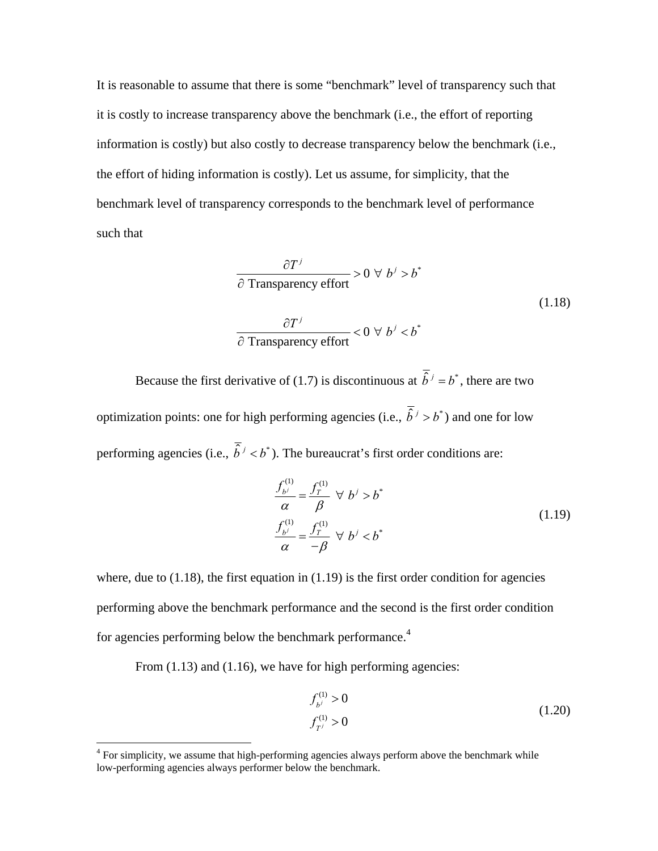It is reasonable to assume that there is some "benchmark" level of transparency such that it is costly to increase transparency above the benchmark (i.e., the effort of reporting information is costly) but also costly to decrease transparency below the benchmark (i.e., the effort of hiding information is costly). Let us assume, for simplicity, that the benchmark level of transparency corresponds to the benchmark level of performance such that

$$
\frac{\partial T^j}{\partial \text{Transport}} > 0 \,\forall \, b^j > b^* \n\frac{\partial T^j}{\partial \text{Transport}} < 0 \,\forall \, b^j < b^* \n(1.18)
$$

Because the first derivative of (1.7) is discontinuous at  $\overline{\hat{b}}^j = b^*$ , there are two optimization points: one for high performing agencies (i.e.,  $\overline{\hat{b}}^j > b^*$ ) and one for low performing agencies (i.e.,  $\overline{\hat{b}}^j < b^*$ ). The bureaucrat's first order conditions are:

$$
\frac{f_{b'}^{(1)}}{\alpha} = \frac{f_T^{(1)}}{\beta} \ \forall \ b^j > b^*
$$
\n
$$
\frac{f_{b'}^{(1)}}{\alpha} = \frac{f_T^{(1)}}{-\beta} \ \forall \ b^j < b^*
$$
\n(1.19)

where, due to  $(1.18)$ , the first equation in  $(1.19)$  is the first order condition for agencies performing above the benchmark performance and the second is the first order condition for agencies performing below the benchmark performance.<sup>4</sup>

From  $(1.13)$  and  $(1.16)$ , we have for high performing agencies:

$$
f_{b}^{(1)} > 0
$$
  
\n
$$
f_{T'}^{(1)} > 0
$$
\n(1.20)

<sup>&</sup>lt;sup>4</sup> For simplicity, we assume that high-performing agencies always perform above the benchmark while low-performing agencies always performer below the benchmark.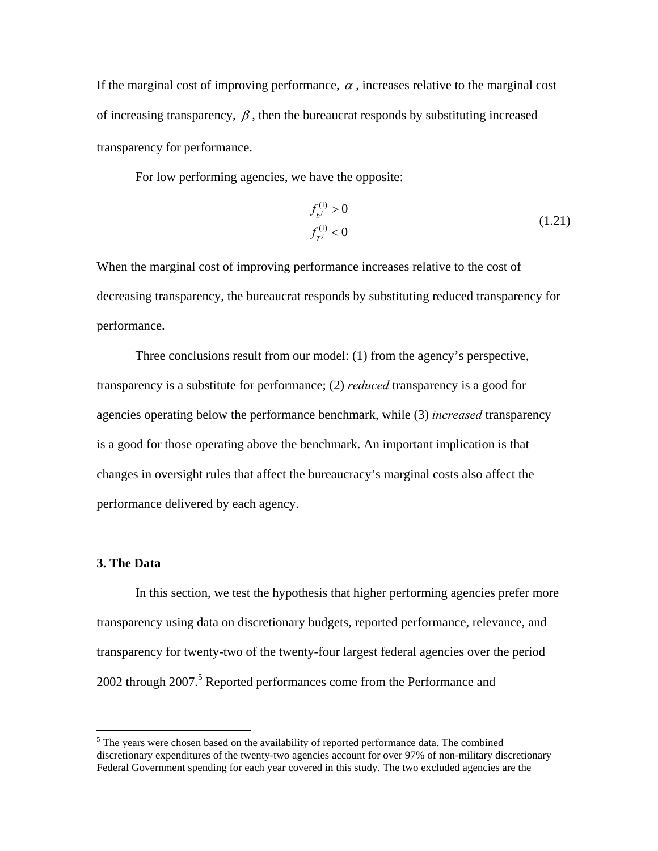If the marginal cost of improving performance,  $\alpha$ , increases relative to the marginal cost of increasing transparency,  $\beta$ , then the bureaucrat responds by substituting increased transparency for performance.

For low performing agencies, we have the opposite:

$$
f_{b}^{(1)} > 0
$$
  
\n
$$
f_{T'}^{(1)} < 0
$$
\n(1.21)

When the marginal cost of improving performance increases relative to the cost of decreasing transparency, the bureaucrat responds by substituting reduced transparency for performance.

 Three conclusions result from our model: (1) from the agency's perspective, transparency is a substitute for performance; (2) *reduced* transparency is a good for agencies operating below the performance benchmark, while (3) *increased* transparency is a good for those operating above the benchmark. An important implication is that changes in oversight rules that affect the bureaucracy's marginal costs also affect the performance delivered by each agency.

# **3. The Data**

 $\overline{a}$ 

In this section, we test the hypothesis that higher performing agencies prefer more transparency using data on discretionary budgets, reported performance, relevance, and transparency for twenty-two of the twenty-four largest federal agencies over the period 2002 through 2007.<sup>5</sup> Reported performances come from the Performance and

 $<sup>5</sup>$  The years were chosen based on the availability of reported performance data. The combined</sup> discretionary expenditures of the twenty-two agencies account for over 97% of non-military discretionary Federal Government spending for each year covered in this study. The two excluded agencies are the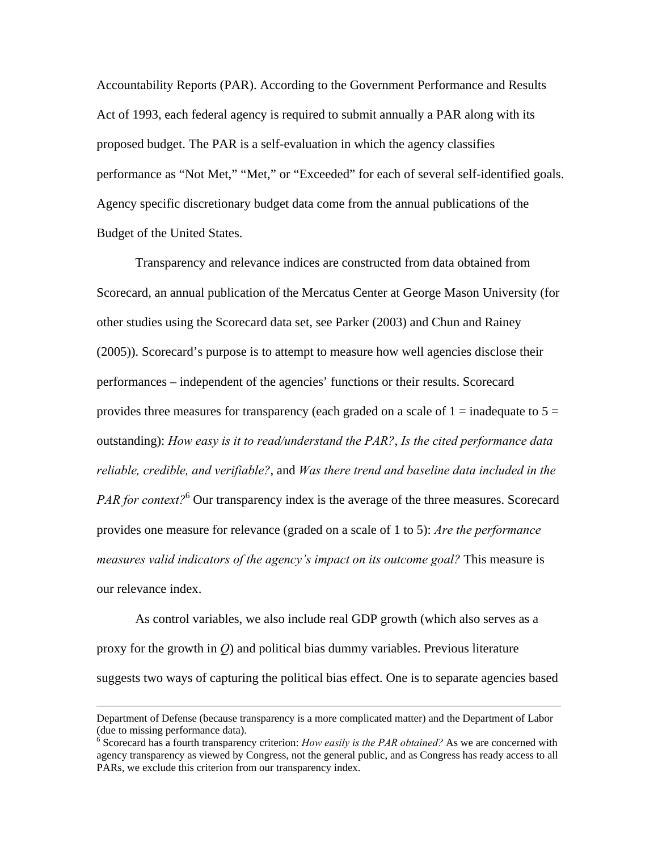Accountability Reports (PAR). According to the Government Performance and Results Act of 1993, each federal agency is required to submit annually a PAR along with its proposed budget. The PAR is a self-evaluation in which the agency classifies performance as "Not Met," "Met," or "Exceeded" for each of several self-identified goals. Agency specific discretionary budget data come from the annual publications of the Budget of the United States.

Transparency and relevance indices are constructed from data obtained from Scorecard, an annual publication of the Mercatus Center at George Mason University (for other studies using the Scorecard data set, see Parker (2003) and Chun and Rainey (2005)). Scorecard's purpose is to attempt to measure how well agencies disclose their performances – independent of the agencies' functions or their results. Scorecard provides three measures for transparency (each graded on a scale of  $1 =$  inadequate to  $5 =$ outstanding): *How easy is it to read/understand the PAR?*, *Is the cited performance data reliable, credible, and verifiable?*, and *Was there trend and baseline data included in the*  PAR for context?<sup>6</sup> Our transparency index is the average of the three measures. Scorecard provides one measure for relevance (graded on a scale of 1 to 5): *Are the performance measures valid indicators of the agency's impact on its outcome goal?* This measure is our relevance index.

As control variables, we also include real GDP growth (which also serves as a proxy for the growth in *Q*) and political bias dummy variables. Previous literature suggests two ways of capturing the political bias effect. One is to separate agencies based

Department of Defense (because transparency is a more complicated matter) and the Department of Labor (due to missing performance data).

<sup>&</sup>lt;sup>6</sup> Scorecard has a fourth transparency criterion: *How easily is the PAR obtained?* As we are concerned with agency transparency as viewed by Congress, not the general public, and as Congress has ready access to all PARs, we exclude this criterion from our transparency index.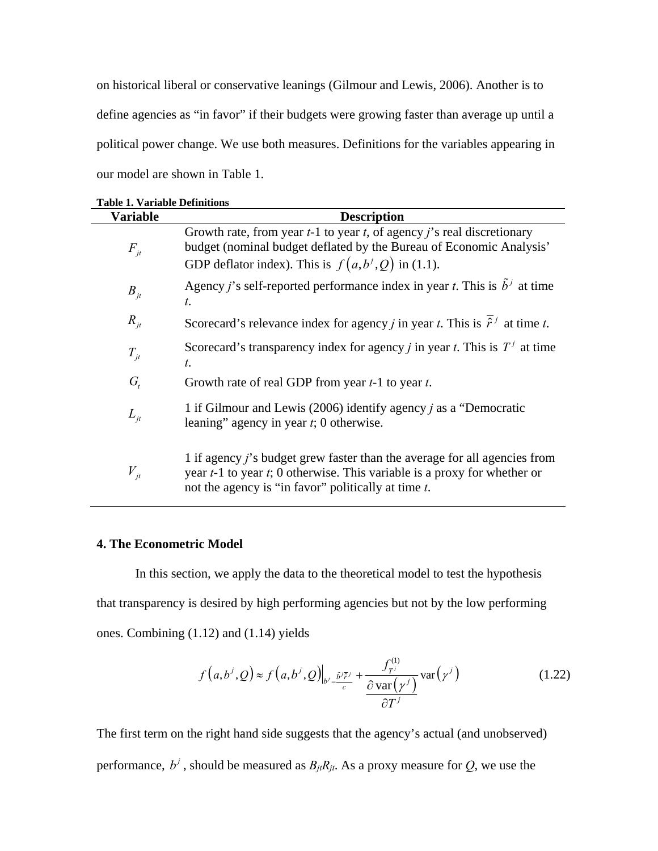on historical liberal or conservative leanings (Gilmour and Lewis, 2006). Another is to define agencies as "in favor" if their budgets were growing faster than average up until a political power change. We use both measures. Definitions for the variables appearing in our model are shown in Table 1.

| <b>Variable</b>              | <b>Description</b>                                                                                                                                                                                                           |
|------------------------------|------------------------------------------------------------------------------------------------------------------------------------------------------------------------------------------------------------------------------|
| $F_{it}$                     | Growth rate, from year $t-1$ to year $t$ , of agency $j$ 's real discretionary<br>budget (nominal budget deflated by the Bureau of Economic Analysis'<br>GDP deflator index). This is $f(a,b^j,Q)$ in (1.1).                 |
| $B_{jt}$                     | Agency <i>j</i> 's self-reported performance index in year <i>t</i> . This is $b^j$ at time<br>$t$ .                                                                                                                         |
| $R_{it}$                     | Scorecard's relevance index for agency <i>j</i> in year <i>t</i> . This is $\hat{r}^j$ at time <i>t</i> .                                                                                                                    |
| $T_{it}$                     | Scorecard's transparency index for agency <i>j</i> in year <i>t</i> . This is $Tj$ at time<br>t.                                                                                                                             |
| $G_{\!\scriptscriptstyle f}$ | Growth rate of real GDP from year $t-1$ to year $t$ .                                                                                                                                                                        |
| $L_{it}$                     | 1 if Gilmour and Lewis (2006) identify agency <i>j</i> as a "Democratic<br>leaning" agency in year $t$ ; 0 otherwise.                                                                                                        |
| $V_{it}$                     | 1 if agency <i>j</i> 's budget grew faster than the average for all agencies from<br>year $t-1$ to year $t$ ; 0 otherwise. This variable is a proxy for whether or<br>not the agency is "in favor" politically at time $t$ . |

|  |  | <b>Table 1. Variable Definitions</b> |
|--|--|--------------------------------------|
|--|--|--------------------------------------|

## **4. The Econometric Model**

 In this section, we apply the data to the theoretical model to test the hypothesis that transparency is desired by high performing agencies but not by the low performing ones. Combining (1.12) and (1.14) yields

$$
f\left(a,b^j,Q\right) \approx f\left(a,b^j,Q\right)\Big|_{b^j=\frac{\tilde{b}^j\tilde{r}^j}{c}} + \frac{f_{T^j}^{(1)}}{\frac{\partial \text{var}\left(\gamma^j\right)}{\partial T^j}} \text{var}\left(\gamma^j\right) \tag{1.22}
$$

The first term on the right hand side suggests that the agency's actual (and unobserved) performance,  $b^j$ , should be measured as  $B_{ji}R_{jt}$ . As a proxy measure for *Q*, we use the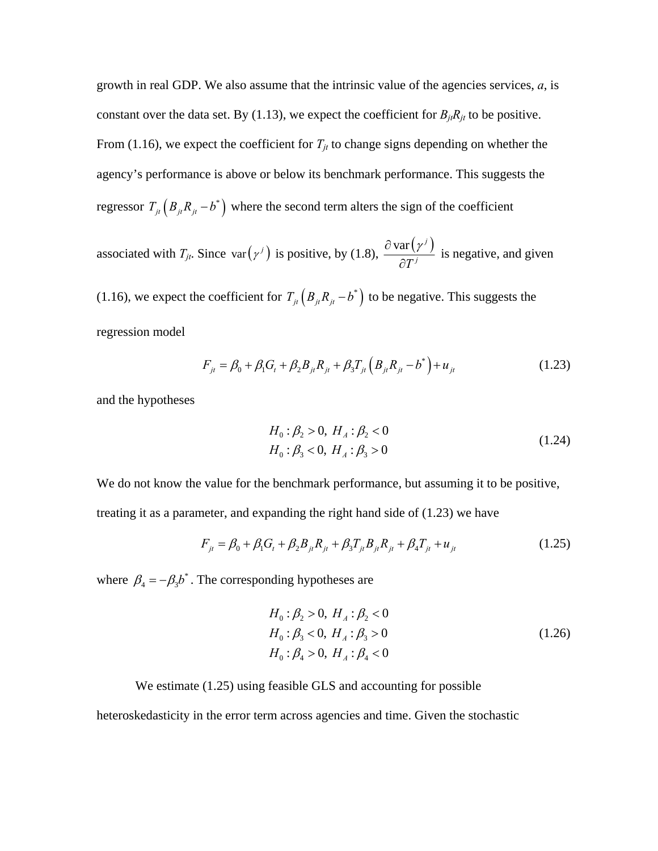growth in real GDP. We also assume that the intrinsic value of the agencies services, *a*, is constant over the data set. By (1.13), we expect the coefficient for  $B_{it}R_{it}$  to be positive. From (1.16), we expect the coefficient for  $T_{jt}$  to change signs depending on whether the agency's performance is above or below its benchmark performance. This suggests the regressor  $T_{jt} ( B_{jt} R_{jt} - b^*)$  where the second term alters the sign of the coefficient

associated with *T<sub>jt</sub>*. Since var $(\gamma^j)$  is positive, by (1.8),  $\frac{\partial \text{var}(\gamma^j)}{\partial x^j}$  $T^j$  $\partial$  var ( $\gamma$  $\frac{d\mathbf{r}(y)}{dt}$  is negative, and given

(1.16), we expect the coefficient for  $T_{it} ( B_{it} R_{it} - b^*)$  to be negative. This suggests the regression model

$$
F_{jt} = \beta_0 + \beta_1 G_t + \beta_2 B_{jt} R_{jt} + \beta_3 T_{jt} \left( B_{jt} R_{jt} - b^* \right) + u_{jt}
$$
(1.23)

and the hypotheses

$$
H_0: \beta_2 > 0, H_A: \beta_2 < 0
$$
  
\n
$$
H_0: \beta_3 < 0, H_A: \beta_3 > 0
$$
\n(1.24)

We do not know the value for the benchmark performance, but assuming it to be positive, treating it as a parameter, and expanding the right hand side of (1.23) we have

$$
F_{jt} = \beta_0 + \beta_1 G_t + \beta_2 B_{jt} R_{jt} + \beta_3 T_{jt} B_{jt} R_{jt} + \beta_4 T_{jt} + u_{jt}
$$
(1.25)

where  $\beta_4 = -\beta_3 b^*$ . The corresponding hypotheses are

$$
H_0: \beta_2 > 0, H_A: \beta_2 < 0
$$
  
\n
$$
H_0: \beta_3 < 0, H_A: \beta_3 > 0
$$
  
\n
$$
H_0: \beta_4 > 0, H_A: \beta_4 < 0
$$
\n(1.26)

# We estimate (1.25) using feasible GLS and accounting for possible

heteroskedasticity in the error term across agencies and time. Given the stochastic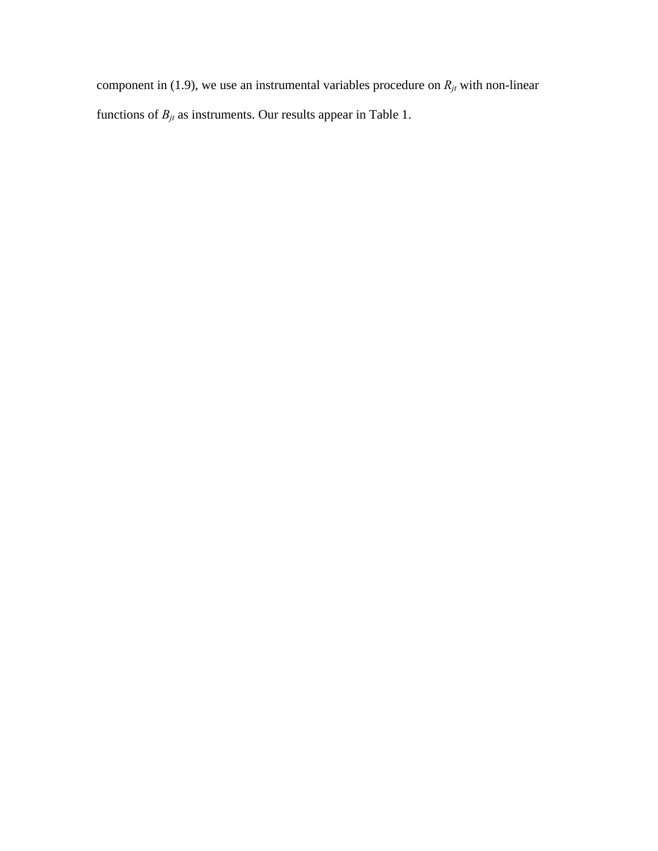component in (1.9), we use an instrumental variables procedure on  $R_{jt}$  with non-linear functions of  $B_{jt}$  as instruments. Our results appear in Table 1.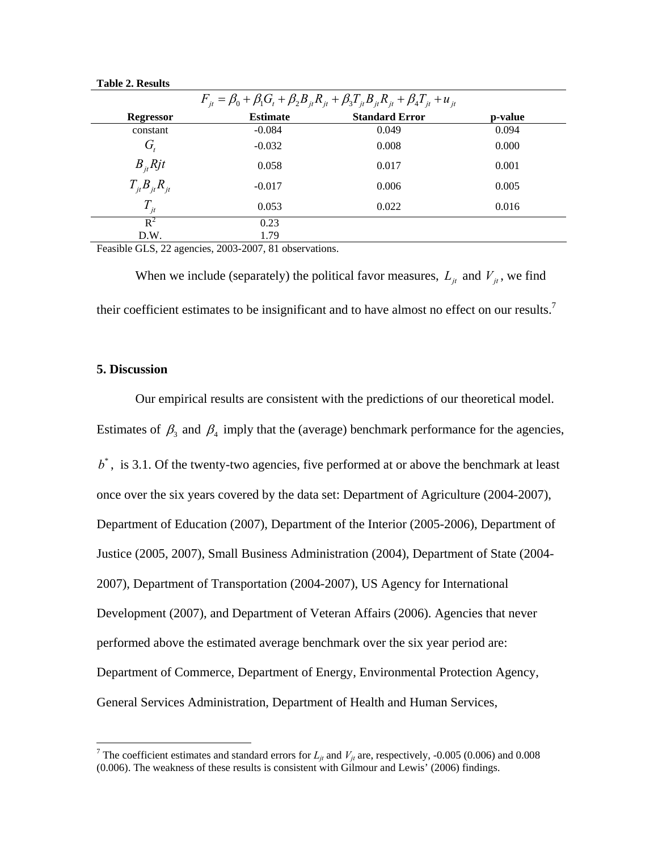| $F_{it} = \beta_0 + \beta_1 G_t + \beta_2 B_{it} R_{it} + \beta_3 T_{it} B_{it} R_{it} + \beta_4 T_{it} + u_{it}$ |                 |                       |         |  |  |
|-------------------------------------------------------------------------------------------------------------------|-----------------|-----------------------|---------|--|--|
| <b>Regressor</b>                                                                                                  | <b>Estimate</b> | <b>Standard Error</b> | p-value |  |  |
| constant                                                                                                          | $-0.084$        | 0.049                 | 0.094   |  |  |
| G,                                                                                                                | $-0.032$        | 0.008                 | 0.000   |  |  |
| $B_{it}$ Rjt                                                                                                      | 0.058           | 0.017                 | 0.001   |  |  |
| $T_{it}B_{it}R_{it}$                                                                                              | $-0.017$        | 0.006                 | 0.005   |  |  |
| $T_{it}$                                                                                                          | 0.053           | 0.022                 | 0.016   |  |  |
| $R^2$                                                                                                             | 0.23            |                       |         |  |  |
| D.W.                                                                                                              | 1.79            |                       |         |  |  |

**Table 2. Results** 

Feasible GLS, 22 agencies, 2003-2007, 81 observations.

When we include (separately) the political favor measures,  $L_{it}$  and  $V_{it}$ , we find their coefficient estimates to be insignificant and to have almost no effect on our results.<sup>7</sup>

#### **5. Discussion**

Our empirical results are consistent with the predictions of our theoretical model. Estimates of  $\beta_3$  and  $\beta_4$  imply that the (average) benchmark performance for the agencies,  $b^*$ , is 3.1. Of the twenty-two agencies, five performed at or above the benchmark at least once over the six years covered by the data set: Department of Agriculture (2004-2007), Department of Education (2007), Department of the Interior (2005-2006), Department of Justice (2005, 2007), Small Business Administration (2004), Department of State (2004- 2007), Department of Transportation (2004-2007), US Agency for International Development (2007), and Department of Veteran Affairs (2006). Agencies that never performed above the estimated average benchmark over the six year period are: Department of Commerce, Department of Energy, Environmental Protection Agency, General Services Administration, Department of Health and Human Services,

<sup>&</sup>lt;sup>7</sup> The coefficient estimates and standard errors for  $L_{jt}$  and  $V_{jt}$  are, respectively, -0.005 (0.006) and 0.008 (0.006). The weakness of these results is consistent with Gilmour and Lewis' (2006) findings.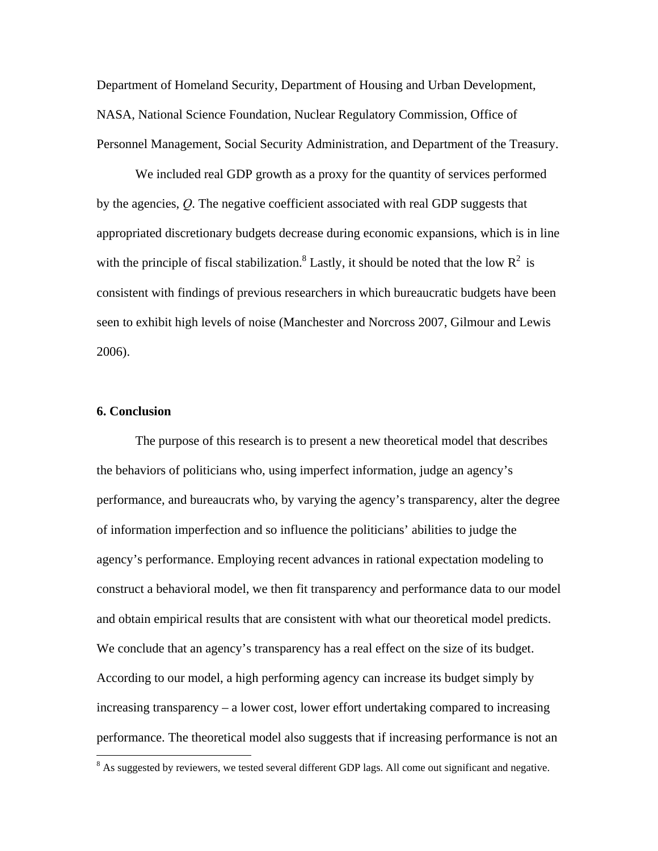Department of Homeland Security, Department of Housing and Urban Development, NASA, National Science Foundation, Nuclear Regulatory Commission, Office of Personnel Management, Social Security Administration, and Department of the Treasury.

 We included real GDP growth as a proxy for the quantity of services performed by the agencies, *Q*. The negative coefficient associated with real GDP suggests that appropriated discretionary budgets decrease during economic expansions, which is in line with the principle of fiscal stabilization.<sup>8</sup> Lastly, it should be noted that the low  $R^2$  is consistent with findings of previous researchers in which bureaucratic budgets have been seen to exhibit high levels of noise (Manchester and Norcross 2007, Gilmour and Lewis 2006).

#### **6. Conclusion**

<u>.</u>

 The purpose of this research is to present a new theoretical model that describes the behaviors of politicians who, using imperfect information, judge an agency's performance, and bureaucrats who, by varying the agency's transparency, alter the degree of information imperfection and so influence the politicians' abilities to judge the agency's performance. Employing recent advances in rational expectation modeling to construct a behavioral model, we then fit transparency and performance data to our model and obtain empirical results that are consistent with what our theoretical model predicts. We conclude that an agency's transparency has a real effect on the size of its budget. According to our model, a high performing agency can increase its budget simply by increasing transparency – a lower cost, lower effort undertaking compared to increasing performance. The theoretical model also suggests that if increasing performance is not an

 $8$  As suggested by reviewers, we tested several different GDP lags. All come out significant and negative.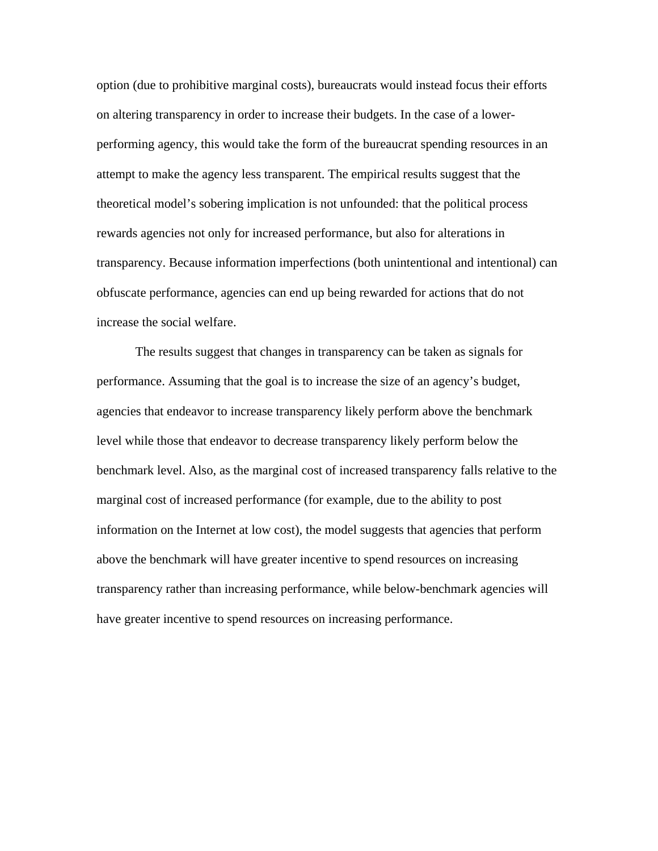option (due to prohibitive marginal costs), bureaucrats would instead focus their efforts on altering transparency in order to increase their budgets. In the case of a lowerperforming agency, this would take the form of the bureaucrat spending resources in an attempt to make the agency less transparent. The empirical results suggest that the theoretical model's sobering implication is not unfounded: that the political process rewards agencies not only for increased performance, but also for alterations in transparency. Because information imperfections (both unintentional and intentional) can obfuscate performance, agencies can end up being rewarded for actions that do not increase the social welfare.

 The results suggest that changes in transparency can be taken as signals for performance. Assuming that the goal is to increase the size of an agency's budget, agencies that endeavor to increase transparency likely perform above the benchmark level while those that endeavor to decrease transparency likely perform below the benchmark level. Also, as the marginal cost of increased transparency falls relative to the marginal cost of increased performance (for example, due to the ability to post information on the Internet at low cost), the model suggests that agencies that perform above the benchmark will have greater incentive to spend resources on increasing transparency rather than increasing performance, while below-benchmark agencies will have greater incentive to spend resources on increasing performance.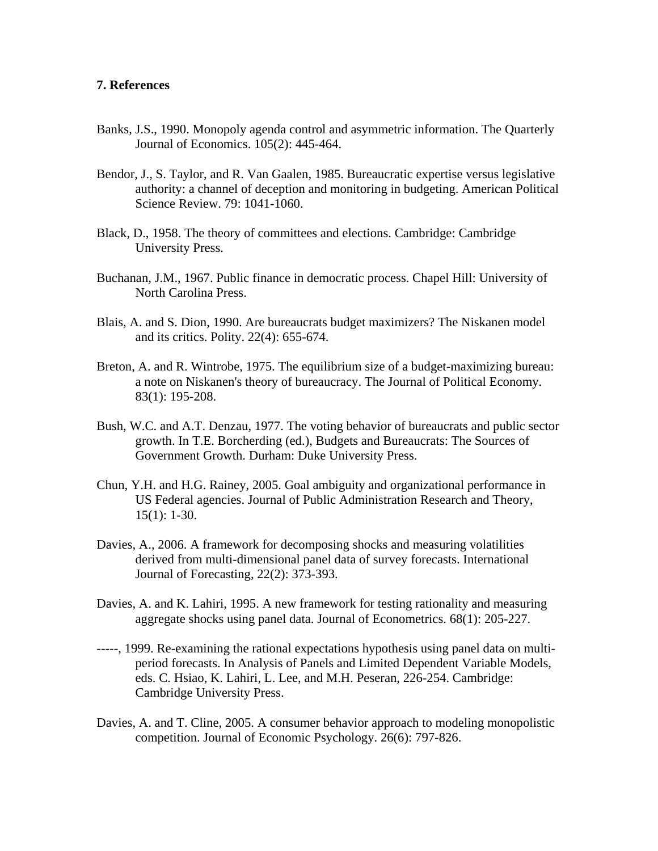## **7. References**

- Banks, J.S., 1990. Monopoly agenda control and asymmetric information. The Quarterly Journal of Economics. 105(2): 445-464.
- Bendor, J., S. Taylor, and R. Van Gaalen, 1985. Bureaucratic expertise versus legislative authority: a channel of deception and monitoring in budgeting. American Political Science Review. 79: 1041-1060.
- Black, D., 1958. The theory of committees and elections. Cambridge: Cambridge University Press.
- Buchanan, J.M., 1967. Public finance in democratic process. Chapel Hill: University of North Carolina Press.
- Blais, A. and S. Dion, 1990. Are bureaucrats budget maximizers? The Niskanen model and its critics. Polity. 22(4): 655-674.
- Breton, A. and R. Wintrobe, 1975. The equilibrium size of a budget-maximizing bureau: a note on Niskanen's theory of bureaucracy. The Journal of Political Economy. 83(1): 195-208.
- Bush, W.C. and A.T. Denzau, 1977. The voting behavior of bureaucrats and public sector growth. In T.E. Borcherding (ed.), Budgets and Bureaucrats: The Sources of Government Growth. Durham: Duke University Press.
- Chun, Y.H. and H.G. Rainey, 2005. Goal ambiguity and organizational performance in US Federal agencies. Journal of Public Administration Research and Theory, 15(1): 1-30.
- Davies, A., 2006. A framework for decomposing shocks and measuring volatilities derived from multi-dimensional panel data of survey forecasts. International Journal of Forecasting, 22(2): 373-393.
- Davies, A. and K. Lahiri, 1995. A new framework for testing rationality and measuring aggregate shocks using panel data. Journal of Econometrics. 68(1): 205-227.
- -----, 1999. Re-examining the rational expectations hypothesis using panel data on multiperiod forecasts. In Analysis of Panels and Limited Dependent Variable Models, eds. C. Hsiao, K. Lahiri, L. Lee, and M.H. Peseran, 226-254. Cambridge: Cambridge University Press.
- Davies, A. and T. Cline, 2005. A consumer behavior approach to modeling monopolistic competition. Journal of Economic Psychology. 26(6): 797-826.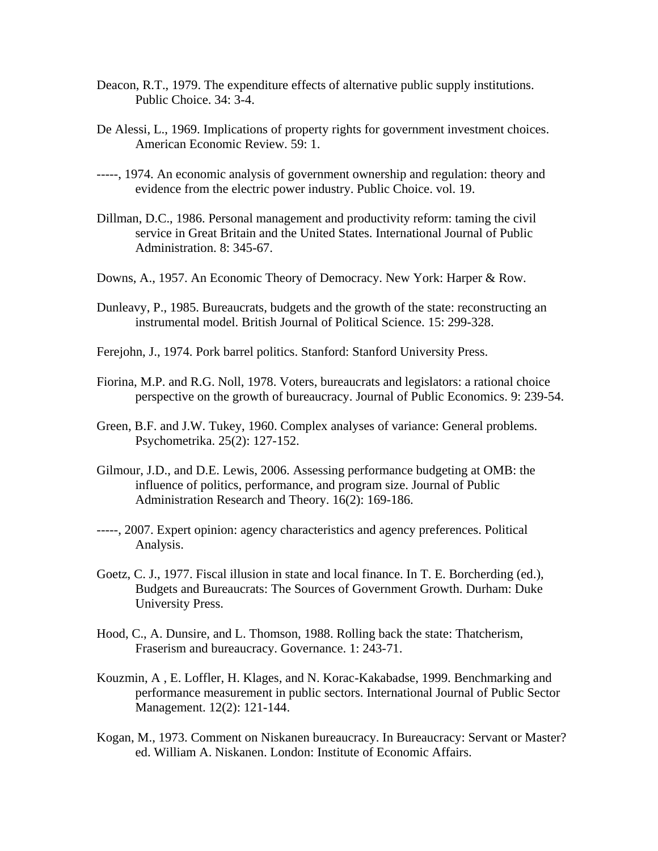- Deacon, R.T., 1979. The expenditure effects of alternative public supply institutions. Public Choice. 34: 3-4.
- De Alessi, L., 1969. Implications of property rights for government investment choices. American Economic Review. 59: 1.
- -----, 1974. An economic analysis of government ownership and regulation: theory and evidence from the electric power industry. Public Choice. vol. 19.
- Dillman, D.C., 1986. Personal management and productivity reform: taming the civil service in Great Britain and the United States. International Journal of Public Administration. 8: 345-67.
- Downs, A., 1957. An Economic Theory of Democracy. New York: Harper & Row.
- Dunleavy, P., 1985. Bureaucrats, budgets and the growth of the state: reconstructing an instrumental model. British Journal of Political Science. 15: 299-328.
- Ferejohn, J., 1974. Pork barrel politics. Stanford: Stanford University Press.
- Fiorina, M.P. and R.G. Noll, 1978. Voters, bureaucrats and legislators: a rational choice perspective on the growth of bureaucracy. Journal of Public Economics. 9: 239-54.
- Green, B.F. and J.W. Tukey, 1960. Complex analyses of variance: General problems. Psychometrika. 25(2): 127-152.
- Gilmour, J.D., and D.E. Lewis, 2006. Assessing performance budgeting at OMB: the influence of politics, performance, and program size. Journal of Public Administration Research and Theory. 16(2): 169-186.
- -----, 2007. Expert opinion: agency characteristics and agency preferences. Political Analysis.
- Goetz, C. J., 1977. Fiscal illusion in state and local finance. In T. E. Borcherding (ed.), Budgets and Bureaucrats: The Sources of Government Growth. Durham: Duke University Press.
- Hood, C., A. Dunsire, and L. Thomson, 1988. Rolling back the state: Thatcherism, Fraserism and bureaucracy. Governance. 1: 243-71.
- Kouzmin, A , E. Loffler, H. Klages, and N. Korac-Kakabadse, 1999. Benchmarking and performance measurement in public sectors. International Journal of Public Sector Management. 12(2): 121-144.
- Kogan, M., 1973. Comment on Niskanen bureaucracy. In Bureaucracy: Servant or Master? ed. William A. Niskanen. London: Institute of Economic Affairs.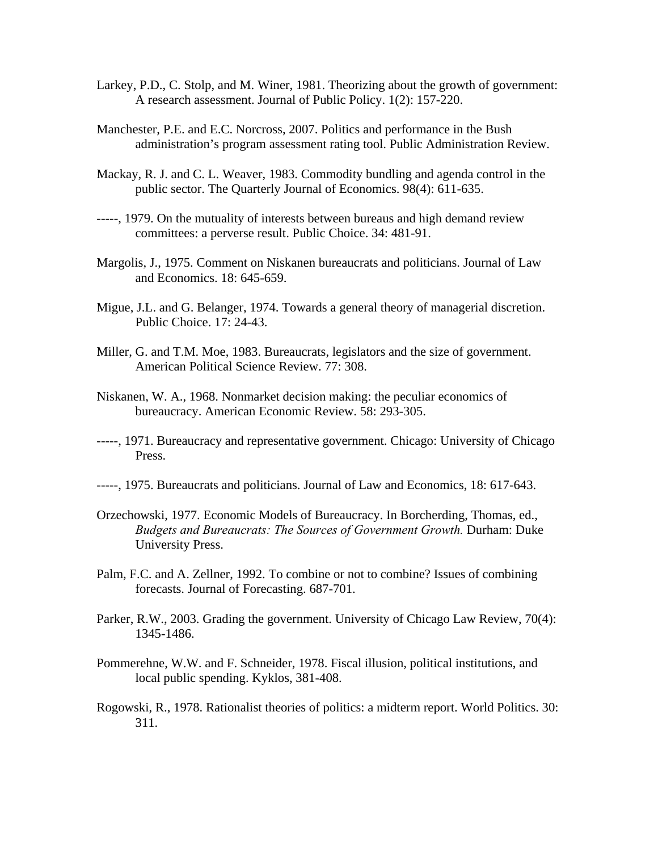- Larkey, P.D., C. Stolp, and M. Winer, 1981. Theorizing about the growth of government: A research assessment. Journal of Public Policy. 1(2): 157-220.
- Manchester, P.E. and E.C. Norcross, 2007. Politics and performance in the Bush administration's program assessment rating tool. Public Administration Review.
- Mackay, R. J. and C. L. Weaver, 1983. Commodity bundling and agenda control in the public sector. The Quarterly Journal of Economics. 98(4): 611-635.
- -----, 1979. On the mutuality of interests between bureaus and high demand review committees: a perverse result. Public Choice. 34: 481-91.
- Margolis, J., 1975. Comment on Niskanen bureaucrats and politicians. Journal of Law and Economics. 18: 645-659.
- Migue, J.L. and G. Belanger, 1974. Towards a general theory of managerial discretion. Public Choice. 17: 24-43.
- Miller, G. and T.M. Moe, 1983. Bureaucrats, legislators and the size of government. American Political Science Review. 77: 308.
- Niskanen, W. A., 1968. Nonmarket decision making: the peculiar economics of bureaucracy. American Economic Review. 58: 293-305.
- -----, 1971. Bureaucracy and representative government. Chicago: University of Chicago Press.
- -----, 1975. Bureaucrats and politicians. Journal of Law and Economics, 18: 617-643.
- Orzechowski, 1977. Economic Models of Bureaucracy. In Borcherding, Thomas, ed., *Budgets and Bureaucrats: The Sources of Government Growth.* Durham: Duke University Press.
- Palm, F.C. and A. Zellner, 1992. To combine or not to combine? Issues of combining forecasts. Journal of Forecasting. 687-701.
- Parker, R.W., 2003. Grading the government. University of Chicago Law Review, 70(4): 1345-1486.
- Pommerehne, W.W. and F. Schneider, 1978. Fiscal illusion, political institutions, and local public spending. Kyklos, 381-408.
- Rogowski, R., 1978. Rationalist theories of politics: a midterm report. World Politics. 30: 311.